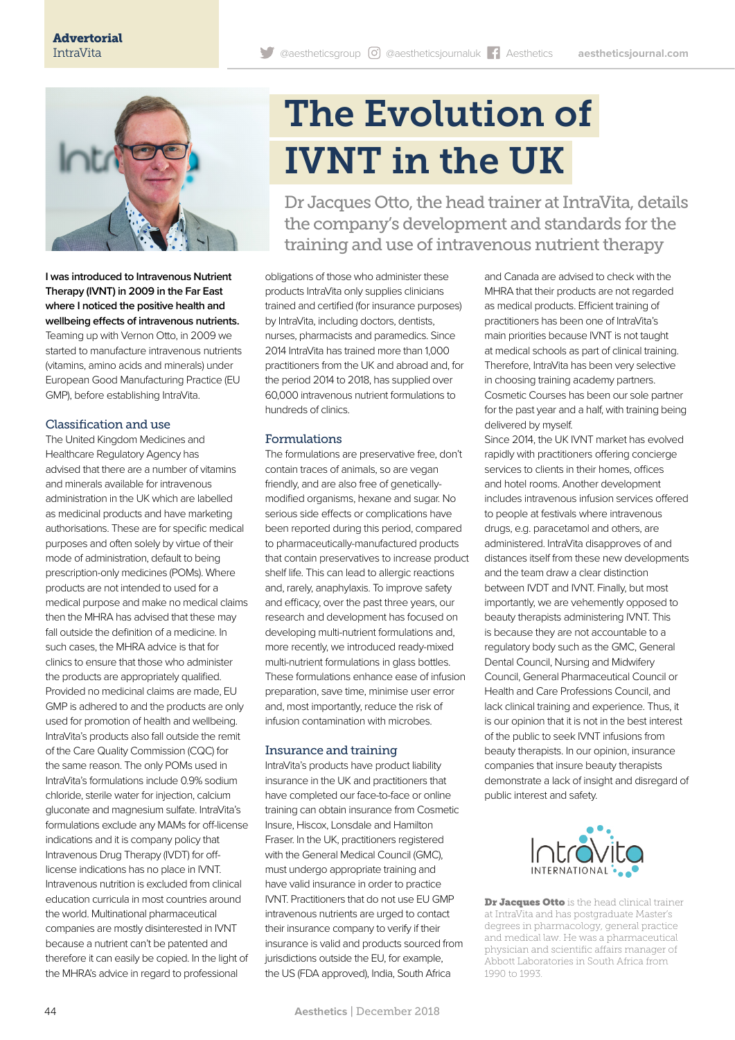

**I was introduced to Intravenous Nutrient Therapy (IVNT) in 2009 in the Far East where I noticed the positive health and wellbeing effects of intravenous nutrients.**  Teaming up with Vernon Otto, in 2009 we started to manufacture intravenous nutrients (vitamins, amino acids and minerals) under European Good Manufacturing Practice (EU GMP), before establishing IntraVita.

# Classification and use

The United Kingdom Medicines and Healthcare Regulatory Agency has advised that there are a number of vitamins and minerals available for intravenous administration in the UK which are labelled as medicinal products and have marketing authorisations. These are for specific medical purposes and often solely by virtue of their mode of administration, default to being prescription-only medicines (POMs). Where products are not intended to used for a medical purpose and make no medical claims then the MHRA has advised that these may fall outside the definition of a medicine. In such cases, the MHRA advice is that for clinics to ensure that those who administer the products are appropriately qualified. Provided no medicinal claims are made, EU GMP is adhered to and the products are only used for promotion of health and wellbeing. IntraVita's products also fall outside the remit of the Care Quality Commission (CQC) for the same reason. The only POMs used in IntraVita's formulations include 0.9% sodium chloride, sterile water for injection, calcium gluconate and magnesium sulfate. IntraVita's formulations exclude any MAMs for off-license indications and it is company policy that Intravenous Drug Therapy (IVDT) for offlicense indications has no place in IVNT. Intravenous nutrition is excluded from clinical education curricula in most countries around the world. Multinational pharmaceutical companies are mostly disinterested in IVNT because a nutrient can't be patented and therefore it can easily be copied. In the light of the MHRA's advice in regard to professional

# The Evolution of IVNT in the UK

Dr Jacques Otto, the head trainer at IntraVita, details the company's development and standards for the training and use of intravenous nutrient therapy

obligations of those who administer these products IntraVita only supplies clinicians trained and certified (for insurance purposes) by IntraVita, including doctors, dentists, nurses, pharmacists and paramedics. Since 2014 IntraVita has trained more than 1,000 practitioners from the UK and abroad and, for the period 2014 to 2018, has supplied over 60,000 intravenous nutrient formulations to hundreds of clinics.

# Formulations

The formulations are preservative free, don't contain traces of animals, so are vegan friendly, and are also free of geneticallymodified organisms, hexane and sugar. No serious side effects or complications have been reported during this period, compared to pharmaceutically-manufactured products that contain preservatives to increase product shelf life. This can lead to allergic reactions and, rarely, anaphylaxis. To improve safety and efficacy, over the past three years, our research and development has focused on developing multi-nutrient formulations and, more recently, we introduced ready-mixed multi-nutrient formulations in glass bottles. These formulations enhance ease of infusion preparation, save time, minimise user error and, most importantly, reduce the risk of infusion contamination with microbes.

### Insurance and training

IntraVita's products have product liability insurance in the UK and practitioners that have completed our face-to-face or online training can obtain insurance from Cosmetic Insure, Hiscox, Lonsdale and Hamilton Fraser. In the UK, practitioners registered with the General Medical Council (GMC), must undergo appropriate training and have valid insurance in order to practice IVNT. Practitioners that do not use EU GMP intravenous nutrients are urged to contact their insurance company to verify if their insurance is valid and products sourced from jurisdictions outside the EU, for example, the US (FDA approved), India, South Africa

and Canada are advised to check with the MHRA that their products are not regarded as medical products. Efficient training of practitioners has been one of IntraVita's main priorities because IVNT is not taught at medical schools as part of clinical training. Therefore, IntraVita has been very selective in choosing training academy partners. Cosmetic Courses has been our sole partner for the past year and a half, with training being delivered by myself.

Since 2014, the UK IVNT market has evolved rapidly with practitioners offering concierge services to clients in their homes, offices and hotel rooms. Another development includes intravenous infusion services offered to people at festivals where intravenous drugs, e.g. paracetamol and others, are administered. IntraVita disapproves of and distances itself from these new developments and the team draw a clear distinction between IVDT and IVNT. Finally, but most importantly, we are vehemently opposed to beauty therapists administering IVNT. This is because they are not accountable to a regulatory body such as the GMC, General Dental Council, Nursing and Midwifery Council, General Pharmaceutical Council or Health and Care Professions Council, and lack clinical training and experience. Thus, it is our opinion that it is not in the best interest of the public to seek IVNT infusions from beauty therapists. In our opinion, insurance companies that insure beauty therapists demonstrate a lack of insight and disregard of public interest and safety.



Dr Jacques Otto is the head clinical trainer at IntraVita and has postgraduate Master's degrees in pharmacology, general practice and medical law. He was a pharmaceutical physician and scientific affairs manager of Abbott Laboratories in South Africa from 1990 to 1993.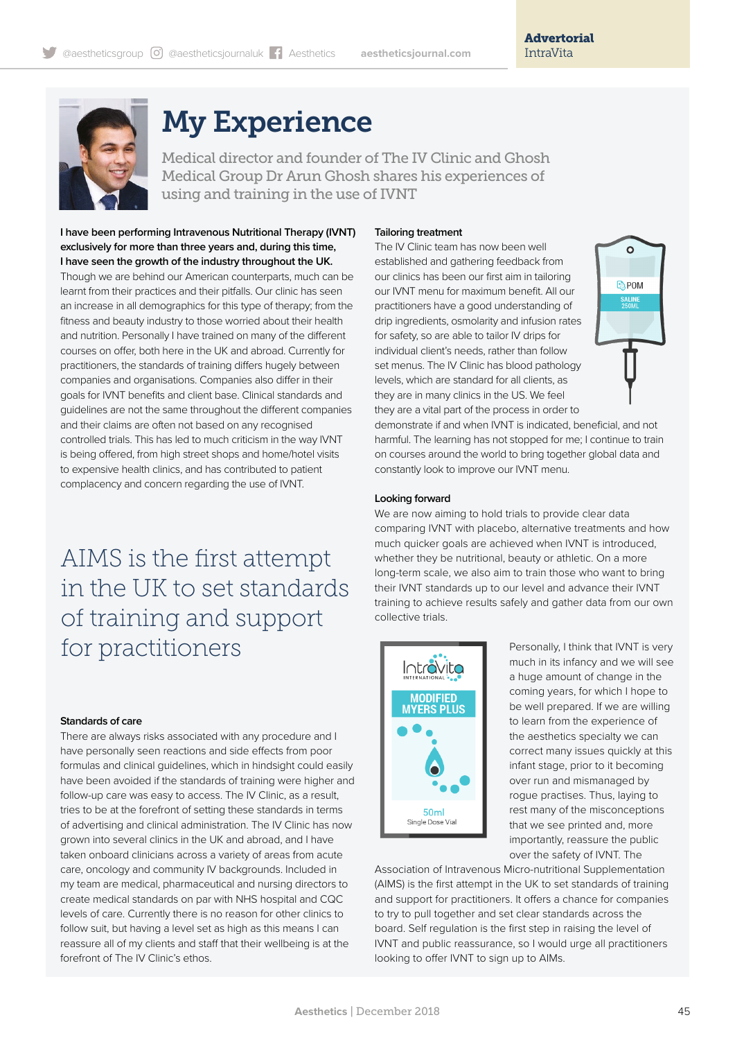

# My Experience

Medical director and founder of The IV Clinic and Ghosh Medical Group Dr Arun Ghosh shares his experiences of using and training in the use of IVNT

**I have been performing Intravenous Nutritional Therapy (IVNT) exclusively for more than three years and, during this time, I have seen the growth of the industry throughout the UK.**  Though we are behind our American counterparts, much can be learnt from their practices and their pitfalls. Our clinic has seen an increase in all demographics for this type of therapy; from the fitness and beauty industry to those worried about their health and nutrition. Personally I have trained on many of the different courses on offer, both here in the UK and abroad. Currently for practitioners, the standards of training differs hugely between companies and organisations. Companies also differ in their goals for IVNT benefits and client base. Clinical standards and guidelines are not the same throughout the different companies and their claims are often not based on any recognised controlled trials. This has led to much criticism in the way IVNT is being offered, from high street shops and home/hotel visits to expensive health clinics, and has contributed to patient complacency and concern regarding the use of IVNT.

AIMS is the first attempt in the UK to set standards of training and support for practitioners

#### **Standards of care**

There are always risks associated with any procedure and I have personally seen reactions and side effects from poor formulas and clinical guidelines, which in hindsight could easily have been avoided if the standards of training were higher and follow-up care was easy to access. The IV Clinic, as a result, tries to be at the forefront of setting these standards in terms of advertising and clinical administration. The IV Clinic has now grown into several clinics in the UK and abroad, and I have taken onboard clinicians across a variety of areas from acute care, oncology and community IV backgrounds. Included in my team are medical, pharmaceutical and nursing directors to create medical standards on par with NHS hospital and CQC levels of care. Currently there is no reason for other clinics to follow suit, but having a level set as high as this means I can reassure all of my clients and staff that their wellbeing is at the forefront of The IV Clinic's ethos.

#### **Tailoring treatment**

The IV Clinic team has now been well established and gathering feedback from our clinics has been our first aim in tailoring our IVNT menu for maximum benefit. All our practitioners have a good understanding of drip ingredients, osmolarity and infusion rates for safety, so are able to tailor IV drips for individual client's needs, rather than follow set menus. The IV Clinic has blood pathology levels, which are standard for all clients, as they are in many clinics in the US. We feel they are a vital part of the process in order to



demonstrate if and when IVNT is indicated, beneficial, and not harmful. The learning has not stopped for me; I continue to train on courses around the world to bring together global data and constantly look to improve our IVNT menu.

#### **Looking forward**

We are now aiming to hold trials to provide clear data comparing IVNT with placebo, alternative treatments and how much quicker goals are achieved when IVNT is introduced, whether they be nutritional, beauty or athletic. On a more long-term scale, we also aim to train those who want to bring their IVNT standards up to our level and advance their IVNT training to achieve results safely and gather data from our own collective trials.



Personally, I think that IVNT is very much in its infancy and we will see a huge amount of change in the coming years, for which I hope to be well prepared. If we are willing to learn from the experience of the aesthetics specialty we can correct many issues quickly at this infant stage, prior to it becoming over run and mismanaged by rogue practises. Thus, laying to rest many of the misconceptions that we see printed and, more importantly, reassure the public over the safety of IVNT. The

Association of Intravenous Micro-nutritional Supplementation (AIMS) is the first attempt in the UK to set standards of training and support for practitioners. It offers a chance for companies to try to pull together and set clear standards across the board. Self regulation is the first step in raising the level of IVNT and public reassurance, so I would urge all practitioners looking to offer IVNT to sign up to AIMs.